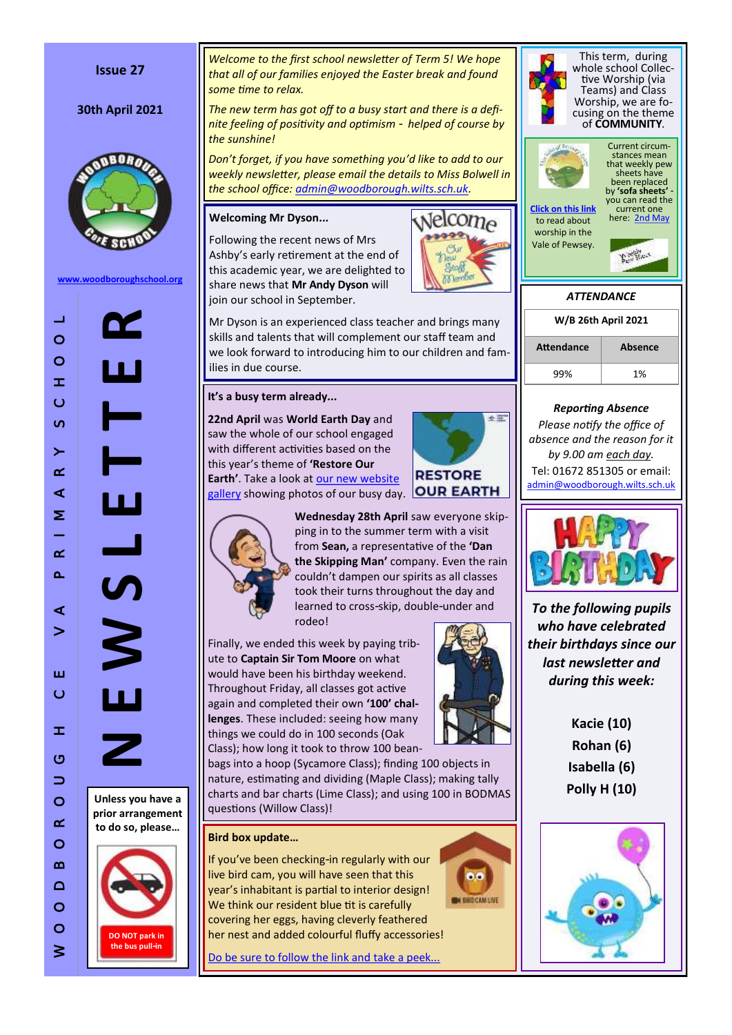## **Issue 27**

# **30th April 2021**



**[www.woodboroughschool.org](https://woodboroughschool.org/)**

**N E W S L E T T E R** ப  $\overline{\boldsymbol{\Lambda}}$ 

**Unless you have a prior arrangement to do so, please …**



*Welcome to the first school newsletter of Term 5! We hope that all of our families enjoyed the Easter break and found some time to relax.*

*The new term has got off to a busy start and there is a definite feeling of positivity and optimism - helped of course by the sunshine!*

*Don 't forget, if you have something you 'd like to add to our weekly newsletter, please email the details to Miss Bolwell in the school office: [admin@woodborough.wilts.sch.uk.](mailto:admin@woodborough.wilts.sch.uk)* 

# **Welcoming Mr Dyson...**

Following the recent news of Mrs Ashby 's early retirement at the end of this academic year, we are delighted to share news that **Mr Andy Dyson** will join our school in September.



Mr Dyson is an experienced class teacher and brings many skills and talents that will complement our staff team and we look forward to introducing him to our children and fam ilies in due course.

# **It 's a busy term already...**

**22nd April** was **World Earth Day** and saw the whole of our school engaged with different activities based on the this year 's theme of **'Restore Our Earth'**. Take a look at **our new website** [gallery](https://woodboroughschool.org/gallery/world-earth-day-2021/) showing photos of our busy day. OUR EARTH





**Wednesday 28th April** saw everyone skipping in to the summer term with a visit from **Sean,** a representative of the **'Dan the Skipping Man'** company. Even the rain couldn 't dampen our spirits as all classes took their turns throughout the day and learned to cross -skip, double -under and rodeo!

Finally, we ended this week by paying tribute to **Captain Sir Tom Moore** on what would have been his birthday weekend. Throughout Friday, all classes got active again and completed their own **'100' challenges**. These included: seeing how many things we could do in 100 seconds (Oak Class); how long it took to throw 100 bean-

bags into a hoop (Sycamore Class); finding 100 objects in nature, estimating and dividing (Maple Class); making tally charts and bar charts (Lime Class); and using 100 in BODMAS questions (Willow Class)!

## **Bird box update …**

If you 've been checking -in regularly with our live bird cam, you will have seen that this year 's inhabitant is partial to interior design! We think our resident blue tit is carefully covering her eggs, having cleverly feathered her nest and added colourful fluffy accessories!

[Do be sure to follow the link and take a peek...](http://www.seenature.org.uk/schools/woodborough-ce-primary-school/)



 $0.0$ 

**N BROCAN LIVE** 



This term, during whole school Collective Worship (via Teams) and Class Worship, we are focusing on the theme of **COMMUNITY** .



to read about worship in the Vale of Pewsey.

current one here: [2nd May](https://woodboroughschool.org/wp-content/uploads/2021/04/2nd-May-2021.pdf)



# *Reporting Absence*

*Please notify the office of absence and the reason for it by 9.00 am each day.*  Tel: 01672 851305 or email: [admin@woodborough.wilts.sch.uk](mailto:admin@woodborough.wilts.sch.uk)



*To the following pupils who have celebrated their birthdays since our last newsletter and during this week:*

> **Kacie (10) Rohan (6) Isabella (6) Polly H (10)**